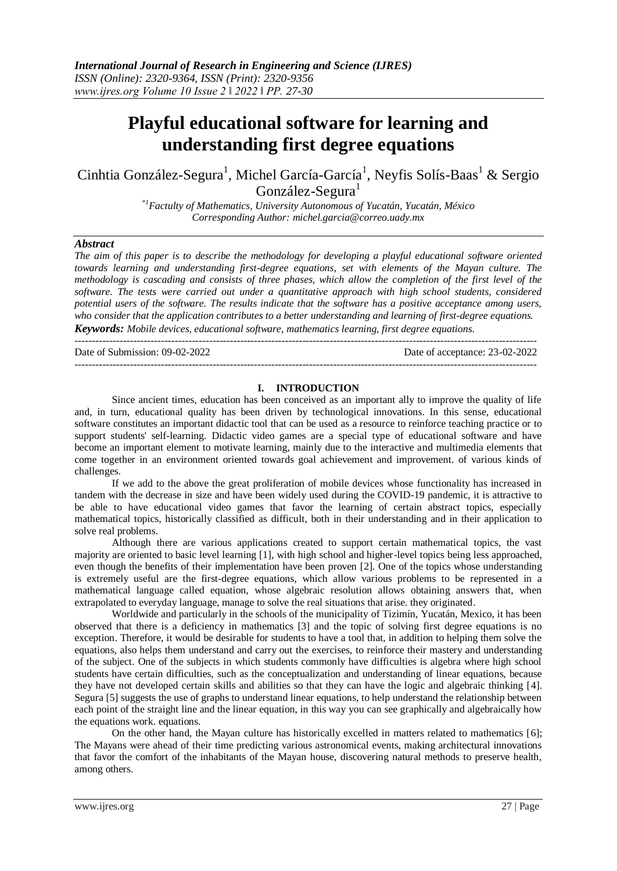# **Playful educational software for learning and understanding first degree equations**

Cinhtia González-Segura<sup>1</sup>, Michel García-García<sup>1</sup>, Neyfis Solís-Baas<sup>1</sup> & Sergio González-Segura<sup>1</sup>

> *\*1Factulty of Mathematics, University Autonomous of Yucatán, Yucatán, México Corresponding Author: michel.garcia@correo.uady.mx*

## *Abstract*

*The aim of this paper is to describe the methodology for developing a playful educational software oriented towards learning and understanding first-degree equations, set with elements of the Mayan culture. The methodology is cascading and consists of three phases, which allow the completion of the first level of the software. The tests were carried out under a quantitative approach with high school students, considered potential users of the software. The results indicate that the software has a positive acceptance among users, who consider that the application contributes to a better understanding and learning of first-degree equations. Keywords: Mobile devices, educational software, mathematics learning, first degree equations.*

--------------------------------------------------------------------------------------------------------------------------------------

Date of Submission: 09-02-2022 Date of acceptance: 23-02-2022

--------------------------------------------------------------------------------------------------------------------------------------

## **I. INTRODUCTION**

Since ancient times, education has been conceived as an important ally to improve the quality of life and, in turn, educational quality has been driven by technological innovations. In this sense, educational software constitutes an important didactic tool that can be used as a resource to reinforce teaching practice or to support students' self-learning. Didactic video games are a special type of educational software and have become an important element to motivate learning, mainly due to the interactive and multimedia elements that come together in an environment oriented towards goal achievement and improvement. of various kinds of challenges.

If we add to the above the great proliferation of mobile devices whose functionality has increased in tandem with the decrease in size and have been widely used during the COVID-19 pandemic, it is attractive to be able to have educational video games that favor the learning of certain abstract topics, especially mathematical topics, historically classified as difficult, both in their understanding and in their application to solve real problems.

Although there are various applications created to support certain mathematical topics, the vast majority are oriented to basic level learning [1], with high school and higher-level topics being less approached, even though the benefits of their implementation have been proven [2]. One of the topics whose understanding is extremely useful are the first-degree equations, which allow various problems to be represented in a mathematical language called equation, whose algebraic resolution allows obtaining answers that, when extrapolated to everyday language, manage to solve the real situations that arise. they originated.

Worldwide and particularly in the schools of the municipality of Tizimín, Yucatán, Mexico, it has been observed that there is a deficiency in mathematics [3] and the topic of solving first degree equations is no exception. Therefore, it would be desirable for students to have a tool that, in addition to helping them solve the equations, also helps them understand and carry out the exercises, to reinforce their mastery and understanding of the subject. One of the subjects in which students commonly have difficulties is algebra where high school students have certain difficulties, such as the conceptualization and understanding of linear equations, because they have not developed certain skills and abilities so that they can have the logic and algebraic thinking [4]. Segura [5] suggests the use of graphs to understand linear equations, to help understand the relationship between each point of the straight line and the linear equation, in this way you can see graphically and algebraically how the equations work. equations.

On the other hand, the Mayan culture has historically excelled in matters related to mathematics [6]; The Mayans were ahead of their time predicting various astronomical events, making architectural innovations that favor the comfort of the inhabitants of the Mayan house, discovering natural methods to preserve health, among others.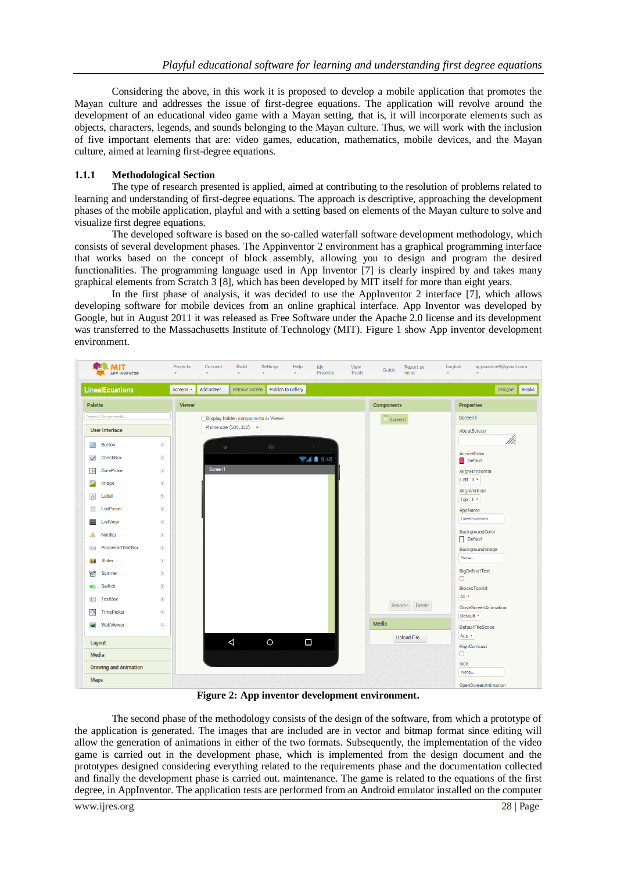Considering the above, in this work it is proposed to develop a mobile application that promotes the Mayan culture and addresses the issue of first-degree equations. The application will revolve around the development of an educational video game with a Mayan setting, that is, it will incorporate elements such as objects, characters, legends, and sounds belonging to the Mayan culture. Thus, we will work with the inclusion of five important elements that are: video games, education, mathematics, mobile devices, and the Mayan culture, aimed at learning first-degree equations.

# **1.1.1 Methodological Section**

The type of research presented is applied, aimed at contributing to the resolution of problems related to learning and understanding of first-degree equations. The approach is descriptive, approaching the development phases of the mobile application, playful and with a setting based on elements of the Mayan culture to solve and visualize first degree equations.

The developed software is based on the so-called waterfall software development methodology, which consists of several development phases. The Appinventor 2 environment has a graphical programming interface that works based on the concept of block assembly, allowing you to design and program the desired functionalities. The programming language used in App Inventor [7] is clearly inspired by and takes many graphical elements from Scratch 3 [8], which has been developed by MIT itself for more than eight years.

In the first phase of analysis, it was decided to use the AppInventor 2 interface [7], which allows developing software for mobile devices from an online graphical interface. App Inventor was developed by Google, but in August 2011 it was released as Free Software under the Apache 2.0 license and its development was transferred to the Massachusetts Institute of Technology (MIT). Figure 1 show App inventor development environment.



**Figure 2: App inventor development environment.**

The second phase of the methodology consists of the design of the software, from which a prototype of the application is generated. The images that are included are in vector and bitmap format since editing will allow the generation of animations in either of the two formats. Subsequently, the implementation of the video game is carried out in the development phase, which is implemented from the design document and the prototypes designed considering everything related to the requirements phase and the documentation collected and finally the development phase is carried out. maintenance. The game is related to the equations of the first degree, in AppInventor. The application tests are performed from an Android emulator installed on the computer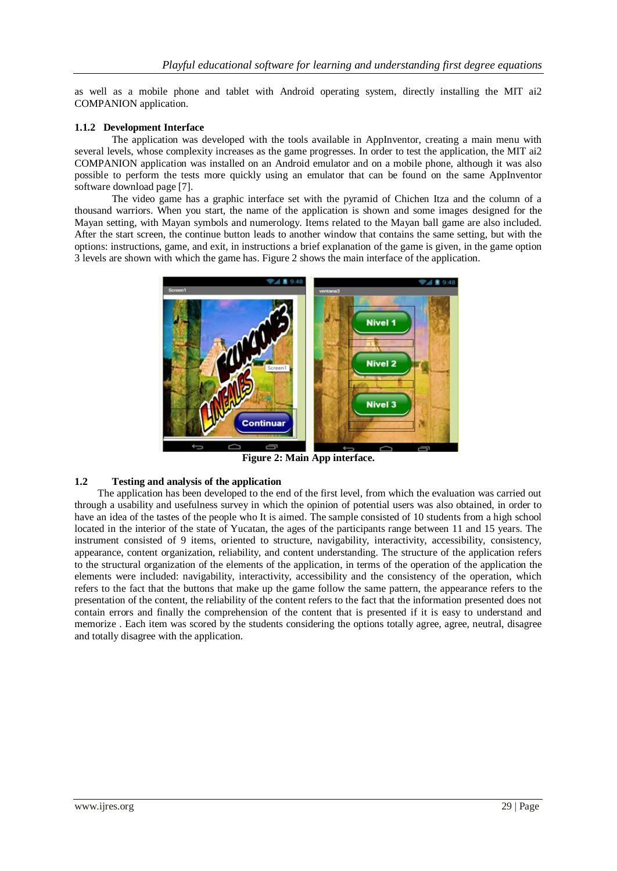as well as a mobile phone and tablet with Android operating system, directly installing the MIT ai2 COMPANION application.

# **1.1.2 Development Interface**

The application was developed with the tools available in AppInventor, creating a main menu with several levels, whose complexity increases as the game progresses. In order to test the application, the MIT ai2 COMPANION application was installed on an Android emulator and on a mobile phone, although it was also possible to perform the tests more quickly using an emulator that can be found on the same AppInventor software download page [7].

The video game has a graphic interface set with the pyramid of Chichen Itza and the column of a thousand warriors. When you start, the name of the application is shown and some images designed for the Mayan setting, with Mayan symbols and numerology. Items related to the Mayan ball game are also included. After the start screen, the continue button leads to another window that contains the same setting, but with the options: instructions, game, and exit, in instructions a brief explanation of the game is given, in the game option 3 levels are shown with which the game has. Figure 2 shows the main interface of the application.



**Figure 2: Main App interface.**

# **1.2 Testing and analysis of the application**

 The application has been developed to the end of the first level, from which the evaluation was carried out through a usability and usefulness survey in which the opinion of potential users was also obtained, in order to have an idea of the tastes of the people who It is aimed. The sample consisted of 10 students from a high school located in the interior of the state of Yucatan, the ages of the participants range between 11 and 15 years. The instrument consisted of 9 items, oriented to structure, navigability, interactivity, accessibility, consistency, appearance, content organization, reliability, and content understanding. The structure of the application refers to the structural organization of the elements of the application, in terms of the operation of the application the elements were included: navigability, interactivity, accessibility and the consistency of the operation, which refers to the fact that the buttons that make up the game follow the same pattern, the appearance refers to the presentation of the content, the reliability of the content refers to the fact that the information presented does not contain errors and finally the comprehension of the content that is presented if it is easy to understand and memorize . Each item was scored by the students considering the options totally agree, agree, neutral, disagree and totally disagree with the application.